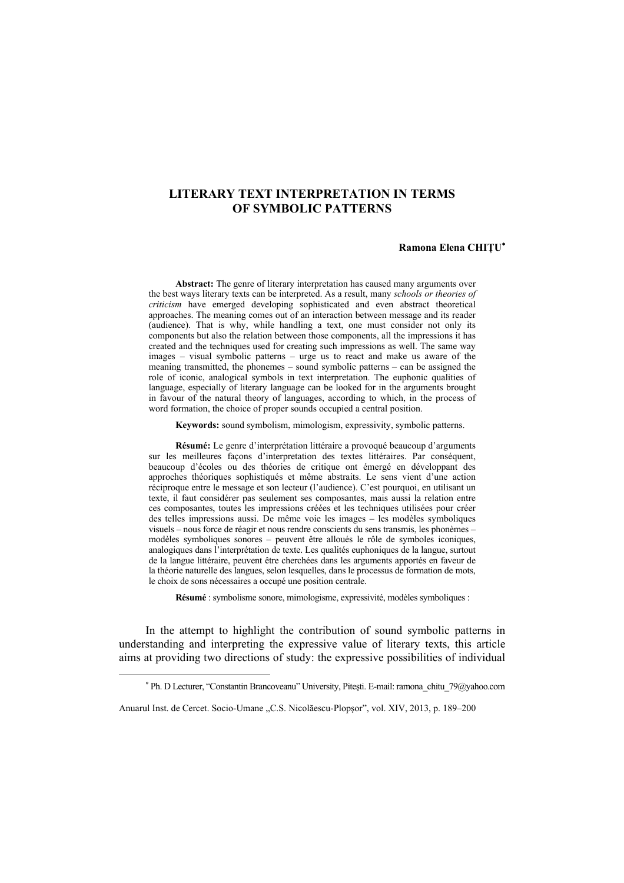# **LITERARY TEXT INTERPRETATION IN TERMS OF SYMBOLIC PATTERNS**

## **Ramona Elena CHIŢU**<sup>∗</sup>

**Abstract:** The genre of literary interpretation has caused many arguments over the best ways literary texts can be interpreted. As a result, many *schools or theories of criticism* have emerged developing sophisticated and even abstract theoretical approaches. The meaning comes out of an interaction between message and its reader (audience). That is why, while handling a text, one must consider not only its components but also the relation between those components, all the impressions it has created and the techniques used for creating such impressions as well. The same way images – visual symbolic patterns – urge us to react and make us aware of the meaning transmitted, the phonemes – sound symbolic patterns – can be assigned the role of iconic, analogical symbols in text interpretation. The euphonic qualities of language, especially of literary language can be looked for in the arguments brought in favour of the natural theory of languages, according to which, in the process of word formation, the choice of proper sounds occupied a central position.

**Keywords:** sound symbolism, mimologism, expressivity, symbolic patterns.

**Résumé:** Le genre d'interprétation littéraire a provoqué beaucoup d'arguments sur les meilleures façons d'interpretation des textes littéraires. Par conséquent, beaucoup d'écoles ou des théories de critique ont émergé en développant des approches théoriques sophistiqués et même abstraits. Le sens vient d'une action réciproque entre le message et son lecteur (l'audience). C'est pourquoi, en utilisant un texte, il faut considérer pas seulement ses composantes, mais aussi la relation entre ces composantes, toutes les impressions créées et les techniques utilisées pour créer des telles impressions aussi. De même voie les images – les modèles symboliques visuels – nous force de réagir et nous rendre conscients du sens transmis, les phonèmes – modèles symboliques sonores – peuvent être alloués le rôle de symboles iconiques, analogiques dans l'interprétation de texte. Les qualités euphoniques de la langue, surtout de la langue littéraire, peuvent être cherchées dans les arguments apportés en faveur de la théorie naturelle des langues, selon lesquelles, dans le processus de formation de mots, le choix de sons nécessaires a occupé une position centrale.

**Résumé** : symbolisme sonore, mimologisme, expressivité, modèles symboliques :

In the attempt to highlight the contribution of sound symbolic patterns in understanding and interpreting the expressive value of literary texts, this article aims at providing two directions of study: the expressive possibilities of individual

 $\overline{a}$ 

<sup>∗</sup> Ph. D Lecturer, "Constantin Brancoveanu" University, Piteşti. E-mail: ramona\_chitu\_79@yahoo.com

Anuarul Inst. de Cercet. Socio-Umane "C.S. Nicolăescu-Plopsor", vol. XIV, 2013, p. 189–200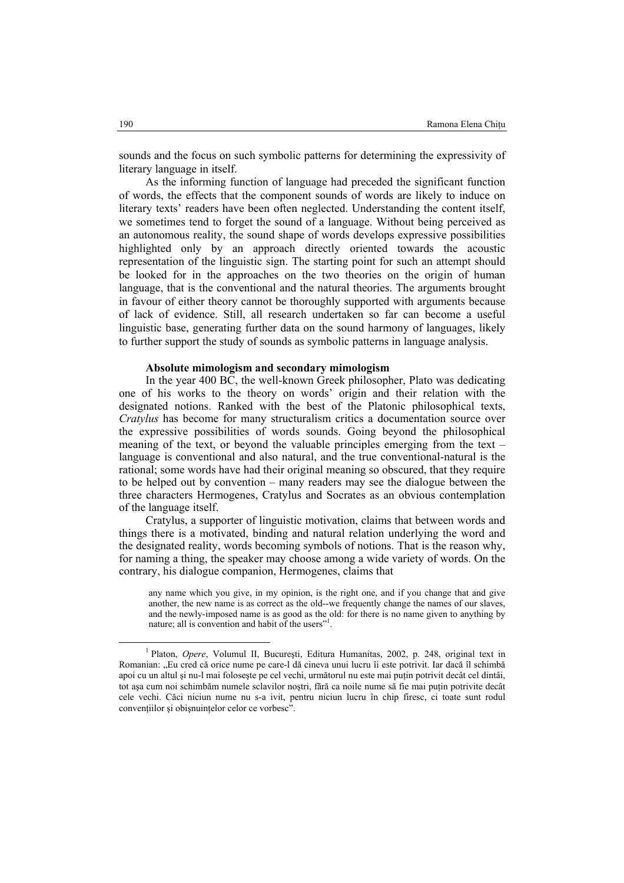sounds and the focus on such symbolic patterns for determining the expressivity of literary language in itself.

As the informing function of language had preceded the significant function of words, the effects that the component sounds of words are likely to induce on literary texts' readers have been often neglected. Understanding the content itself, we sometimes tend to forget the sound of a language. Without being perceived as an autonomous reality, the sound shape of words develops expressive possibilities highlighted only by an approach directly oriented towards the acoustic representation of the linguistic sign. The starting point for such an attempt should be looked for in the approaches on the two theories on the origin of human language, that is the conventional and the natural theories. The arguments brought in favour of either theory cannot be thoroughly supported with arguments because of lack of evidence. Still, all research undertaken so far can become a useful linguistic base, generating further data on the sound harmony of languages, likely to further support the study of sounds as symbolic patterns in language analysis.

#### **Absolute mimologism and secondary mimologism**

In the year 400 BC, the well-known Greek philosopher, Plato was dedicating one of his works to the theory on words' origin and their relation with the designated notions. Ranked with the best of the Platonic philosophical texts, *Cratylus* has become for many structuralism critics a documentation source over the expressive possibilities of words sounds. Going beyond the philosophical meaning of the text, or beyond the valuable principles emerging from the text – language is conventional and also natural, and the true conventional-natural is the rational; some words have had their original meaning so obscured, that they require to be helped out by convention – many readers may see the dialogue between the three characters Hermogenes, Cratylus and Socrates as an obvious contemplation of the language itself.

Cratylus, a supporter of linguistic motivation, claims that between words and things there is a motivated, binding and natural relation underlying the word and the designated reality, words becoming symbols of notions. That is the reason why, for naming a thing, the speaker may choose among a wide variety of words. On the contrary, his dialogue companion, Hermogenes, claims that

any name which you give, in my opinion, is the right one, and if you change that and give another, the new name is as correct as the old--we frequently change the names of our slaves, and the newly-imposed name is as good as the old: for there is no name given to anything by nature; all is convention and habit of the users"<sup>1</sup>.

<sup>1&</sup>lt;sup>1</sup> Platon, *Opere*, Volumul II, Bucureşti, Editura Humanitas, 2002, p. 248, original text in Romanian: "Eu cred că orice nume pe care-l dă cineva unui lucru îi este potrivit. Iar dacă îl schimbă apoi cu un altul şi nu-l mai foloseşte pe cel vechi, următorul nu este mai puţin potrivit decât cel dintâi, tot asa cum noi schimbăm numele sclavilor nostri, fără ca noile nume să fie mai puțin potrivite decât cele vechi. Căci niciun nume nu s-a ivit, pentru niciun lucru în chip firesc, ci toate sunt rodul convenţiilor şi obişnuinţelor celor ce vorbesc".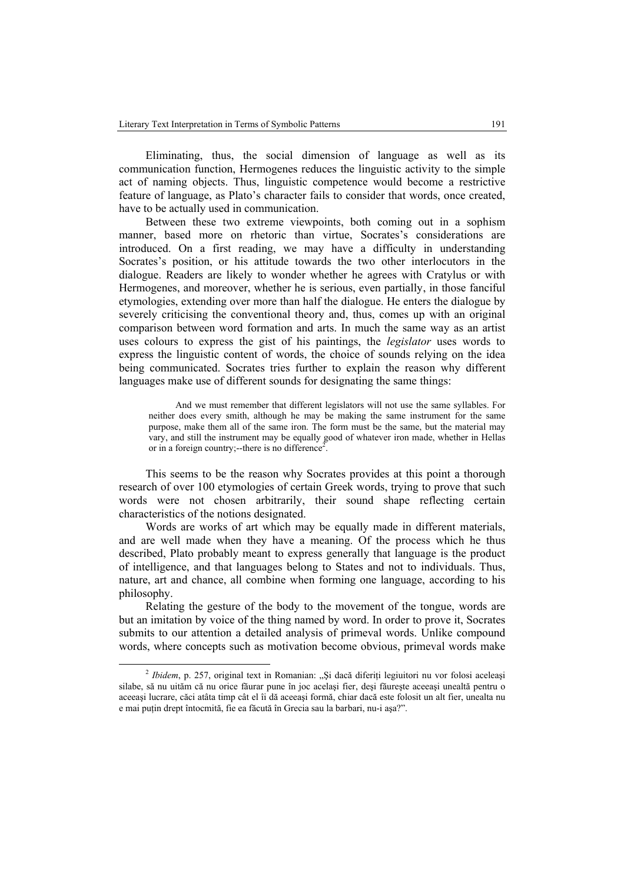Eliminating, thus, the social dimension of language as well as its communication function, Hermogenes reduces the linguistic activity to the simple act of naming objects. Thus, linguistic competence would become a restrictive feature of language, as Plato's character fails to consider that words, once created, have to be actually used in communication.

Between these two extreme viewpoints, both coming out in a sophism manner, based more on rhetoric than virtue, Socrates's considerations are introduced. On a first reading, we may have a difficulty in understanding Socrates's position, or his attitude towards the two other interlocutors in the dialogue. Readers are likely to wonder whether he agrees with Cratylus or with Hermogenes, and moreover, whether he is serious, even partially, in those fanciful etymologies, extending over more than half the dialogue. He enters the dialogue by severely criticising the conventional theory and, thus, comes up with an original comparison between word formation and arts. In much the same way as an artist uses colours to express the gist of his paintings, the *legislator* uses words to express the linguistic content of words, the choice of sounds relying on the idea being communicated. Socrates tries further to explain the reason why different languages make use of different sounds for designating the same things:

And we must remember that different legislators will not use the same syllables. For neither does every smith, although he may be making the same instrument for the same purpose, make them all of the same iron. The form must be the same, but the material may vary, and still the instrument may be equally good of whatever iron made, whether in Hellas or in a foreign country;--there is no difference<sup>2</sup>.

This seems to be the reason why Socrates provides at this point a thorough research of over 100 etymologies of certain Greek words, trying to prove that such words were not chosen arbitrarily, their sound shape reflecting certain characteristics of the notions designated.

Words are works of art which may be equally made in different materials, and are well made when they have a meaning. Of the process which he thus described, Plato probably meant to express generally that language is the product of intelligence, and that languages belong to States and not to individuals. Thus, nature, art and chance, all combine when forming one language, according to his philosophy.

Relating the gesture of the body to the movement of the tongue, words are but an imitation by voice of the thing named by word. In order to prove it, Socrates submits to our attention a detailed analysis of primeval words. Unlike compound words, where concepts such as motivation become obvious, primeval words make

 <sup>2</sup> <sup>2</sup> Ibidem, p. 257, original text in Romanian: "Și dacă diferiți legiuitori nu vor folosi aceleași silabe, să nu uităm că nu orice făurar pune în joc acelaşi fier, deşi făureşte aceeaşi unealtă pentru o aceeaşi lucrare, căci atâta timp cât el îi dă aceeaşi formă, chiar dacă este folosit un alt fier, unealta nu e mai puţin drept întocmită, fie ea făcută în Grecia sau la barbari, nu-i aşa?".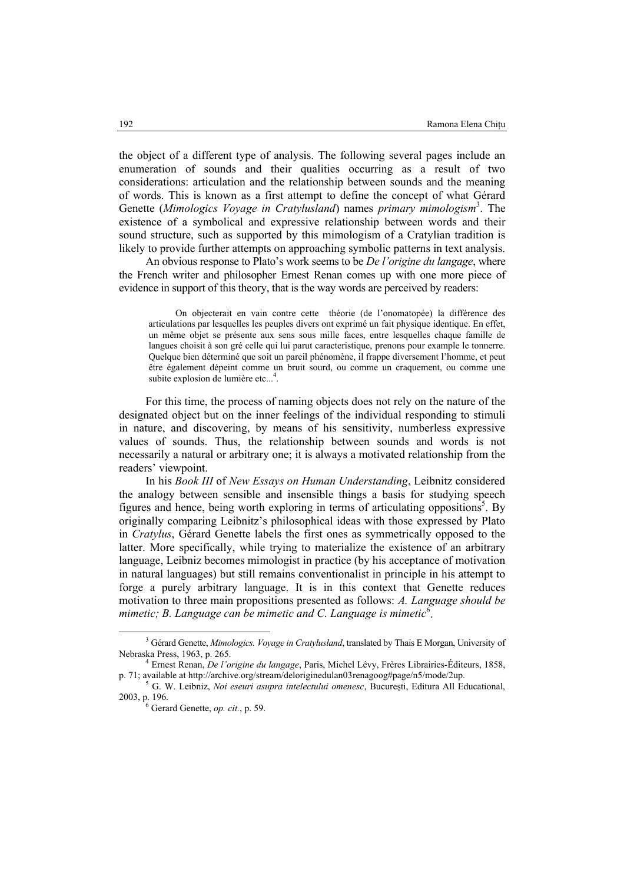the object of a different type of analysis. The following several pages include an enumeration of sounds and their qualities occurring as a result of two considerations: articulation and the relationship between sounds and the meaning of words. This is known as a first attempt to define the concept of what Gérard Genette (*Mimologics Voyage in Cratylusland*) names *primary mimologism*<sup>3</sup> . The existence of a symbolical and expressive relationship between words and their sound structure, such as supported by this mimologism of a Cratylian tradition is likely to provide further attempts on approaching symbolic patterns in text analysis.

An obvious response to Plato's work seems to be *De l'origine du langage*, where the French writer and philosopher Ernest Renan comes up with one more piece of evidence in support of this theory, that is the way words are perceived by readers:

On objecterait en vain contre cette théorie (de l'onomatopée) la différence des articulations par lesquelles les peuples divers ont exprimé un fait physique identique. En effet, un même objet se présente aux sens sous mille faces, entre lesquelles chaque famille de langues choisit à son gré celle qui lui parut caracteristique, prenons pour example le tonnerre. Quelque bien déterminé que soit un pareil phénomène, il frappe diversement l'homme, et peut être également dépeint comme un bruit sourd, ou comme un craquement, ou comme une subite explosion de lumière etc...<sup>4</sup>.

For this time, the process of naming objects does not rely on the nature of the designated object but on the inner feelings of the individual responding to stimuli in nature, and discovering, by means of his sensitivity, numberless expressive values of sounds. Thus, the relationship between sounds and words is not necessarily a natural or arbitrary one; it is always a motivated relationship from the readers' viewpoint.

In his *Book III* of *New Essays on Human Understanding*, Leibnitz considered the analogy between sensible and insensible things a basis for studying speech figures and hence, being worth exploring in terms of articulating oppositions<sup>5</sup>. By originally comparing Leibnitz's philosophical ideas with those expressed by Plato in *Cratylus*, Gérard Genette labels the first ones as symmetrically opposed to the latter. More specifically, while trying to materialize the existence of an arbitrary language, Leibniz becomes mimologist in practice (by his acceptance of motivation in natural languages) but still remains conventionalist in principle in his attempt to forge a purely arbitrary language. It is in this context that Genette reduces motivation to three main propositions presented as follows: *A. Language should be*  mimetic; *B. Language can be mimetic and C. Language is mimetic*<sup>6</sup>.

 $\frac{3}{3}$ <sup>3</sup> Gérard Genette, *Mimologics. Voyage in Cratylusland*, translated by Thais E Morgan, University of Nebraska Press, 1963, p. 265. 4 Ernest Renan, *De l'origine du langage*, Paris, Michel Lévy, Frères Librairies-Éditeurs, 1858,

p. 71; available at http://archive.org/stream/deloriginedulan03renagoog#page/n5/mode/2up.

G. W. Leibniz, *Noi eseuri asupra intelectului omenesc*, Bucureşti, Editura All Educational, 2003, p. 196. 6 Gerard Genette, *op. cit.*, p. 59.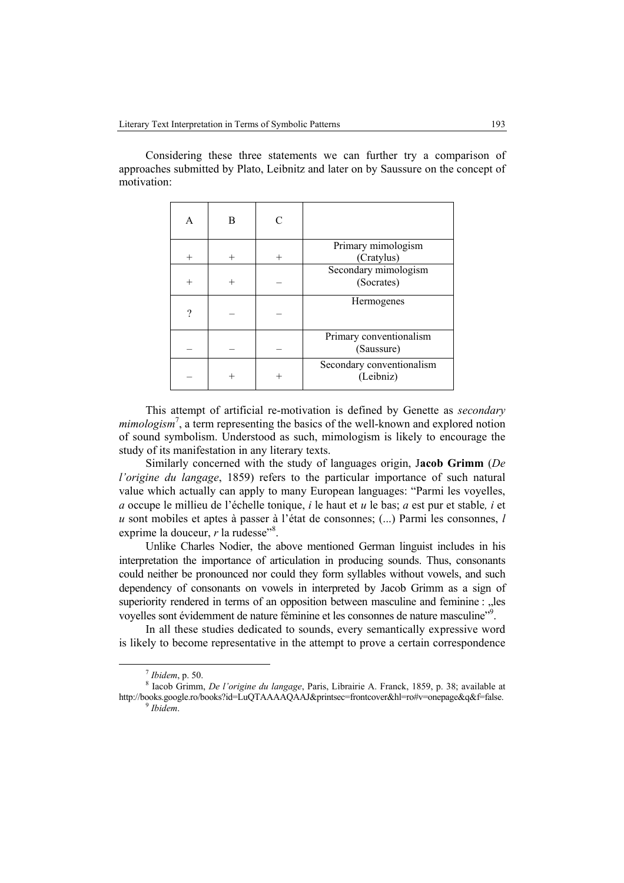Considering these three statements we can further try a comparison of approaches submitted by Plato, Leibnitz and later on by Saussure on the concept of motivation:

| A      | B      |        |                                        |  |  |
|--------|--------|--------|----------------------------------------|--|--|
| $^{+}$ | $^{+}$ | $^{+}$ | Primary mimologism<br>(Cratylus)       |  |  |
| $^{+}$ | $^{+}$ |        | Secondary mimologism<br>(Socrates)     |  |  |
| 9      |        |        | Hermogenes                             |  |  |
|        |        |        | Primary conventionalism<br>(Saussure)  |  |  |
|        |        |        | Secondary conventionalism<br>(Leibniz) |  |  |

This attempt of artificial re-motivation is defined by Genette as *secondary*  mimologism<sup>7</sup>, a term representing the basics of the well-known and explored notion of sound symbolism. Understood as such, mimologism is likely to encourage the study of its manifestation in any literary texts.

Similarly concerned with the study of languages origin, J**acob Grimm** (*De l'origine du langage*, 1859) refers to the particular importance of such natural value which actually can apply to many European languages: "Parmi les voyelles, *a* occupe le millieu de l'échelle tonique, *i* le haut et *u* le bas; *a* est pur et stable*, i* et *u* sont mobiles et aptes à passer à l'état de consonnes; (...) Parmi les consonnes, *l*  exprime la douceur,  $r$  la rudesse"<sup>8</sup>.

Unlike Charles Nodier, the above mentioned German linguist includes in his interpretation the importance of articulation in producing sounds. Thus, consonants could neither be pronounced nor could they form syllables without vowels, and such dependency of consonants on vowels in interpreted by Jacob Grimm as a sign of superiority rendered in terms of an opposition between masculine and feminine : "les voyelles sont évidemment de nature féminine et les consonnes de nature masculine"9 .

In all these studies dedicated to sounds, every semantically expressive word is likely to become representative in the attempt to prove a certain correspondence

<sup>7</sup> *Ibidem*, p. 50. 8

Iacob Grimm, *De l'origine du langage*, Paris, Librairie A. Franck, 1859, p. 38; available at http://books.google.ro/books?id=LuQTAAAAQAAJ&printsec=frontcover&hl=ro#v=onepage&q&f=false. 9 *Ibidem*.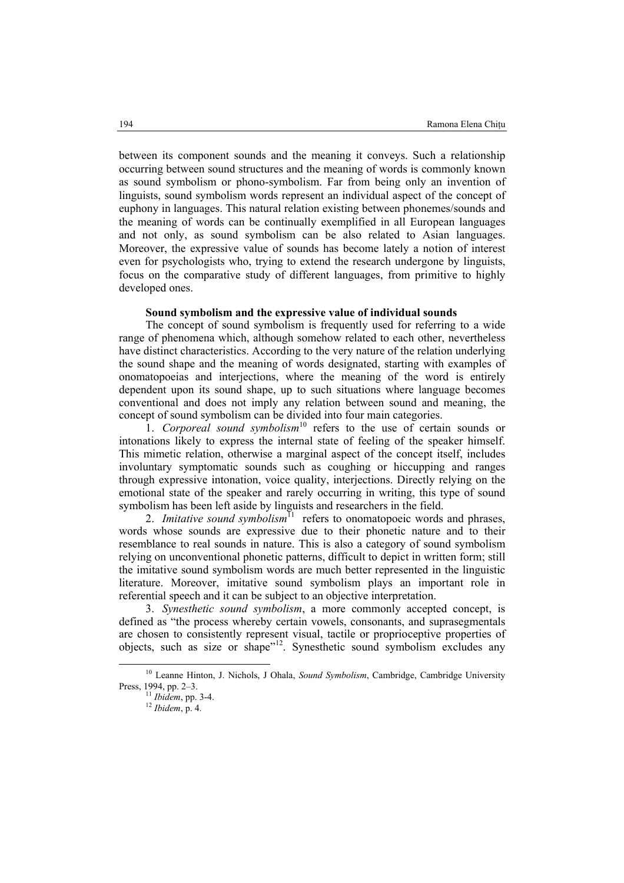between its component sounds and the meaning it conveys. Such a relationship occurring between sound structures and the meaning of words is commonly known as sound symbolism or phono-symbolism. Far from being only an invention of linguists, sound symbolism words represent an individual aspect of the concept of euphony in languages. This natural relation existing between phonemes/sounds and the meaning of words can be continually exemplified in all European languages and not only, as sound symbolism can be also related to Asian languages. Moreover, the expressive value of sounds has become lately a notion of interest even for psychologists who, trying to extend the research undergone by linguists, focus on the comparative study of different languages, from primitive to highly developed ones.

## **Sound symbolism and the expressive value of individual sounds**

The concept of sound symbolism is frequently used for referring to a wide range of phenomena which, although somehow related to each other, nevertheless have distinct characteristics. According to the very nature of the relation underlying the sound shape and the meaning of words designated, starting with examples of onomatopoeias and interjections, where the meaning of the word is entirely dependent upon its sound shape, up to such situations where language becomes conventional and does not imply any relation between sound and meaning, the concept of sound symbolism can be divided into four main categories.

1. *Corporeal sound symbolism*10 refers to the use of certain sounds or intonations likely to express the internal state of feeling of the speaker himself. This mimetic relation, otherwise a marginal aspect of the concept itself, includes involuntary symptomatic sounds such as coughing or hiccupping and ranges through expressive intonation, voice quality, interjections. Directly relying on the emotional state of the speaker and rarely occurring in writing, this type of sound symbolism has been left aside by linguists and researchers in the field.

2. *Imitative sound symbolism*<sup>11</sup> refers to onomatopoeic words and phrases, words whose sounds are expressive due to their phonetic nature and to their resemblance to real sounds in nature. This is also a category of sound symbolism relying on unconventional phonetic patterns, difficult to depict in written form; still the imitative sound symbolism words are much better represented in the linguistic literature. Moreover, imitative sound symbolism plays an important role in referential speech and it can be subject to an objective interpretation.

3. *Synesthetic sound symbolism*, a more commonly accepted concept, is defined as "the process whereby certain vowels, consonants, and suprasegmentals are chosen to consistently represent visual, tactile or proprioceptive properties of objects, such as size or shape"<sup>12</sup>. Synesthetic sound symbolism excludes any

 <sup>10</sup> Leanne Hinton, J. Nichols, J Ohala, *Sound Symbolism*, Cambridge, Cambridge University Press, 1994, pp. 2–3. 11 *Ibidem*, pp. 3-4. 12 *Ibidem*, p. 4.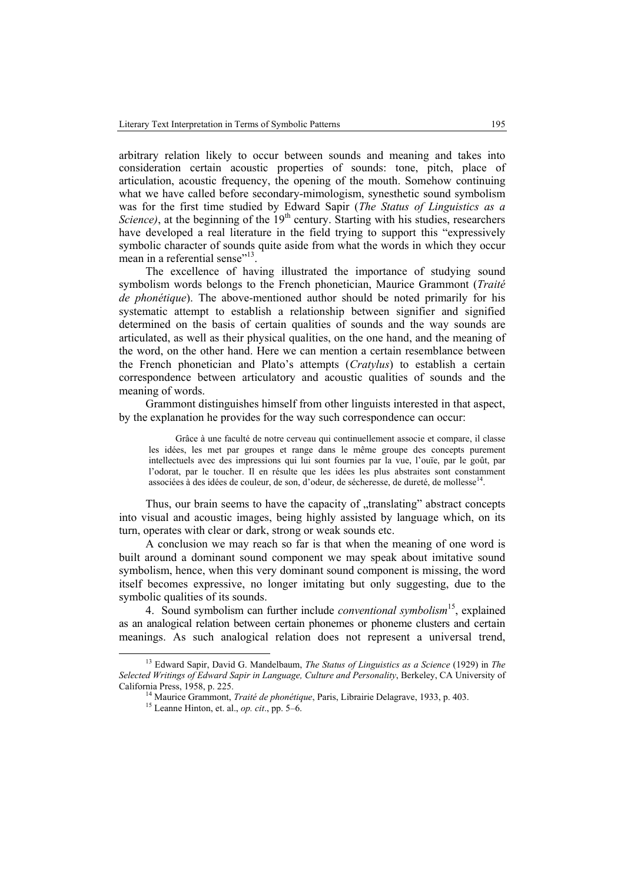arbitrary relation likely to occur between sounds and meaning and takes into consideration certain acoustic properties of sounds: tone, pitch, place of articulation, acoustic frequency, the opening of the mouth. Somehow continuing what we have called before secondary-mimologism, synesthetic sound symbolism was for the first time studied by Edward Sapir (*The Status of Linguistics as a Science*), at the beginning of the  $19<sup>th</sup>$  century. Starting with his studies, researchers have developed a real literature in the field trying to support this "expressively symbolic character of sounds quite aside from what the words in which they occur mean in a referential sense"<sup>13</sup>.

The excellence of having illustrated the importance of studying sound symbolism words belongs to the French phonetician, Maurice Grammont (*Traité de phonétique*). The above-mentioned author should be noted primarily for his systematic attempt to establish a relationship between signifier and signified determined on the basis of certain qualities of sounds and the way sounds are articulated, as well as their physical qualities, on the one hand, and the meaning of the word, on the other hand. Here we can mention a certain resemblance between the French phonetician and Plato's attempts (*Cratylus*) to establish a certain correspondence between articulatory and acoustic qualities of sounds and the meaning of words.

Grammont distinguishes himself from other linguists interested in that aspect, by the explanation he provides for the way such correspondence can occur:

Grâce à une faculté de notre cerveau qui continuellement associe et compare, il classe les idées, les met par groupes et range dans le même groupe des concepts purement intellectuels avec des impressions qui lui sont fournies par la vue, l'ouïe, par le goût, par l'odorat, par le toucher. Il en résulte que les idées les plus abstraites sont constamment associées à des idées de couleur, de son, d'odeur, de sécheresse, de dureté, de mollesse<sup>14</sup>.

Thus, our brain seems to have the capacity of "translating" abstract concepts into visual and acoustic images, being highly assisted by language which, on its turn, operates with clear or dark, strong or weak sounds etc.

A conclusion we may reach so far is that when the meaning of one word is built around a dominant sound component we may speak about imitative sound symbolism, hence, when this very dominant sound component is missing, the word itself becomes expressive, no longer imitating but only suggesting, due to the symbolic qualities of its sounds.

4. Sound symbolism can further include *conventional symbolism*15, explained as an analogical relation between certain phonemes or phoneme clusters and certain meanings. As such analogical relation does not represent a universal trend,

 <sup>13</sup> Edward Sapir, David G. Mandelbaum, *The Status of Linguistics as a Science* (1929) in *The Selected Writings of Edward Sapir in Language, Culture and Personality*, Berkeley, CA University of California Press, 1958, p. 225. 14 Maurice Grammont, *Traité de phonétique*, Paris, Librairie Delagrave, 1933, p. 403. 15 Leanne Hinton, et. al., *op. cit*., pp. 5–6.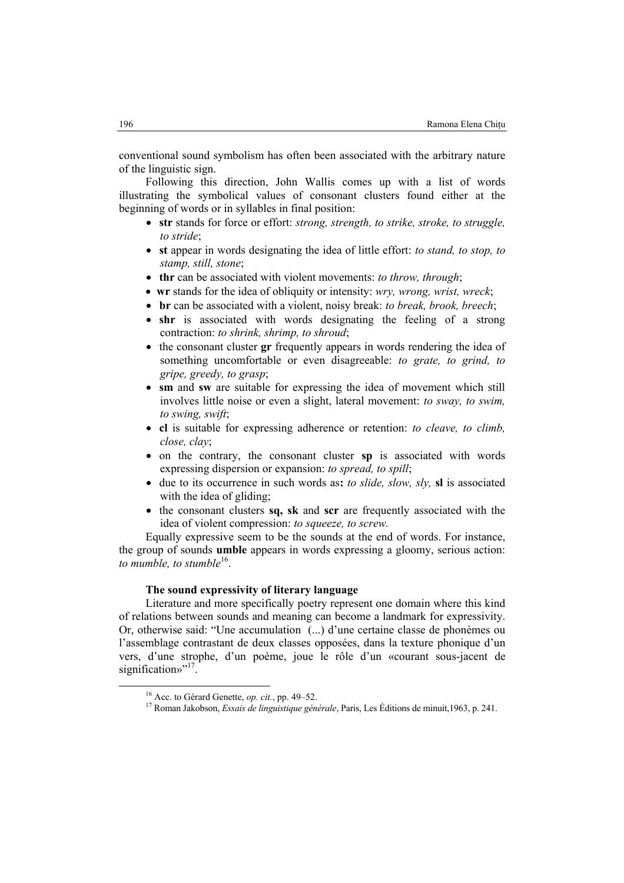conventional sound symbolism has often been associated with the arbitrary nature of the linguistic sign.

Following this direction, John Wallis comes up with a list of words illustrating the symbolical values of consonant clusters found either at the beginning of words or in syllables in final position:

- **str** stands for force or effort: *strong, strength, to strike, stroke, to struggle, to stride*;
- **st** appear in words designating the idea of little effort: *to stand, to stop, to stamp, still, stone*;
- **thr** can be associated with violent movements: *to throw, through*;
- **wr** stands for the idea of obliquity or intensity: *wry, wrong, wrist, wreck*;
- **br** can be associated with a violent, noisy break: *to break, brook, breech*;
- **shr** is associated with words designating the feeling of a strong contraction: *to shrink, shrimp, to shroud*;
- the consonant cluster **gr** frequently appears in words rendering the idea of something uncomfortable or even disagreeable: *to grate, to grind, to gripe, greedy, to grasp*;
- **sm** and **sw** are suitable for expressing the idea of movement which still involves little noise or even a slight, lateral movement: *to sway, to swim, to swing, swift*;
- **cl** is suitable for expressing adherence or retention: *to cleave, to climb, close, clay*;
- on the contrary, the consonant cluster **sp** is associated with words expressing dispersion or expansion: *to spread, to spill*;
- due to its occurrence in such words as**:** *to slide, slow, sly,* **sl** is associated with the idea of gliding;
- the consonant clusters **sq, sk** and **scr** are frequently associated with the idea of violent compression: *to squeeze, to screw.*

Equally expressive seem to be the sounds at the end of words. For instance, the group of sounds **umble** appears in words expressing a gloomy, serious action: *to mumble, to stumble*<sup>16</sup>.

# **The sound expressivity of literary language**

Literature and more specifically poetry represent one domain where this kind of relations between sounds and meaning can become a landmark for expressivity. Or, otherwise said: "Une accumulation (...) d'une certaine classe de phonèmes ou l'assemblage contrastant de deux classes opposées, dans la texture phonique d'un vers, d'une strophe, d'un poème, joue le rôle d'un «courant sous-jacent de signification»"<sup>17</sup>.

 <sup>16</sup> Acc. to Gérard Genette, *op. cit.*, pp. 49–52. 17 Roman Jakobson, *Essais de linguistique générale*, Paris, Les Éditions de minuit,1963, p. 241.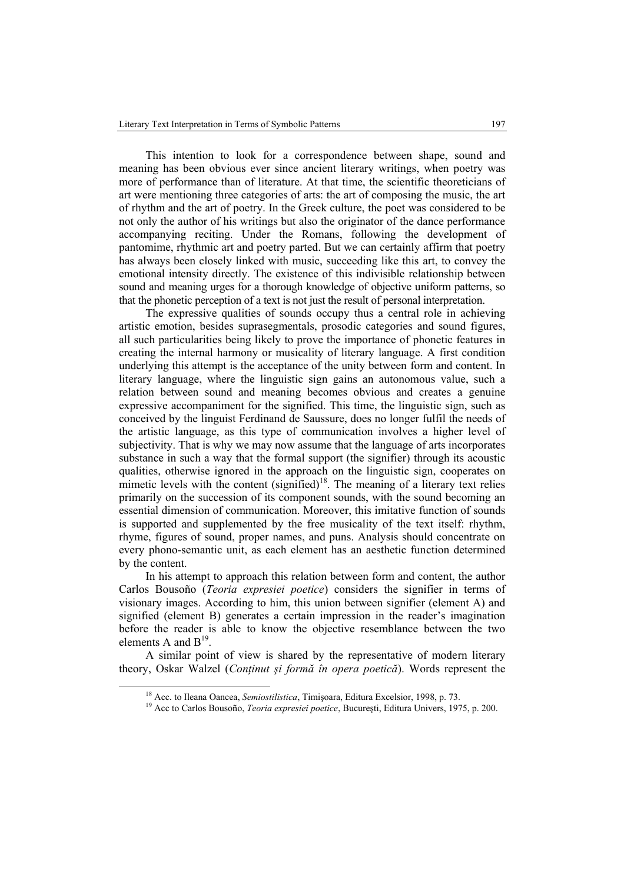This intention to look for a correspondence between shape, sound and meaning has been obvious ever since ancient literary writings, when poetry was more of performance than of literature. At that time, the scientific theoreticians of art were mentioning three categories of arts: the art of composing the music, the art of rhythm and the art of poetry. In the Greek culture, the poet was considered to be not only the author of his writings but also the originator of the dance performance accompanying reciting. Under the Romans, following the development of pantomime, rhythmic art and poetry parted. But we can certainly affirm that poetry has always been closely linked with music, succeeding like this art, to convey the emotional intensity directly. The existence of this indivisible relationship between sound and meaning urges for a thorough knowledge of objective uniform patterns, so that the phonetic perception of a text is not just the result of personal interpretation.

The expressive qualities of sounds occupy thus a central role in achieving artistic emotion, besides suprasegmentals, prosodic categories and sound figures, all such particularities being likely to prove the importance of phonetic features in creating the internal harmony or musicality of literary language. A first condition underlying this attempt is the acceptance of the unity between form and content. In literary language, where the linguistic sign gains an autonomous value, such a relation between sound and meaning becomes obvious and creates a genuine expressive accompaniment for the signified. This time, the linguistic sign, such as conceived by the linguist Ferdinand de Saussure, does no longer fulfil the needs of the artistic language, as this type of communication involves a higher level of subjectivity. That is why we may now assume that the language of arts incorporates substance in such a way that the formal support (the signifier) through its acoustic qualities, otherwise ignored in the approach on the linguistic sign, cooperates on mimetic levels with the content  $(\text{signified})^{18}$ . The meaning of a literary text relies primarily on the succession of its component sounds, with the sound becoming an essential dimension of communication. Moreover, this imitative function of sounds is supported and supplemented by the free musicality of the text itself: rhythm, rhyme, figures of sound, proper names, and puns. Analysis should concentrate on every phono-semantic unit, as each element has an aesthetic function determined by the content.

In his attempt to approach this relation between form and content, the author Carlos Bousoño (*Teoria expresiei poetice*) considers the signifier in terms of visionary images. According to him, this union between signifier (element A) and signified (element B) generates a certain impression in the reader's imagination before the reader is able to know the objective resemblance between the two elements A and B<sup>19</sup>.

A similar point of view is shared by the representative of modern literary theory, Oskar Walzel (*Conţinut şi formă în opera poetică*). Words represent the

<sup>&</sup>lt;sup>18</sup> Acc. to Ileana Oancea, *Semiostilistica*, Timișoara, Editura Excelsior, 1998, p. 73.<br><sup>19</sup> Acc to Carlos Bousoño, *Teoria expresiei poetice*, București, Editura Univers, 1975, p. 200.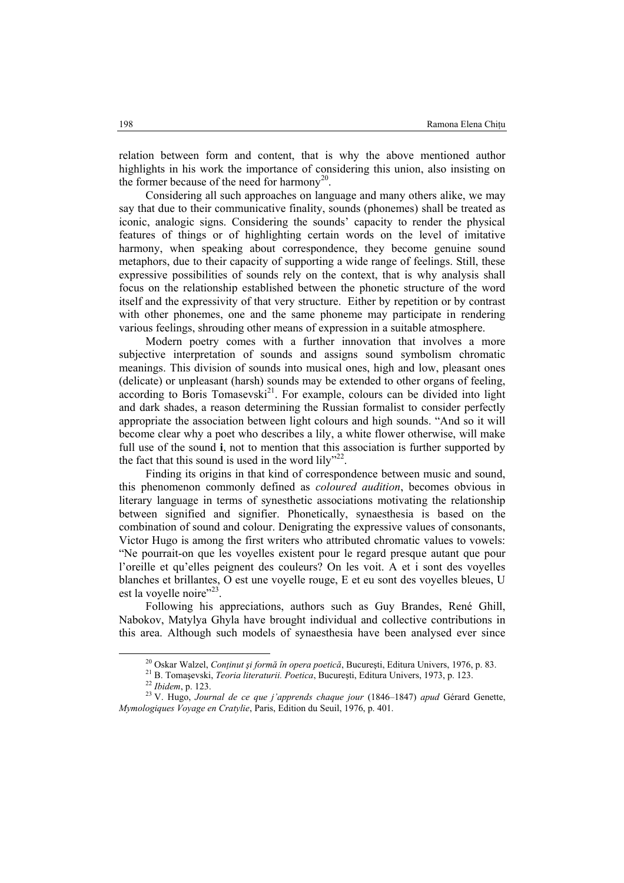relation between form and content, that is why the above mentioned author highlights in his work the importance of considering this union, also insisting on the former because of the need for harmony<sup>20</sup>.

Considering all such approaches on language and many others alike, we may say that due to their communicative finality, sounds (phonemes) shall be treated as iconic, analogic signs. Considering the sounds' capacity to render the physical features of things or of highlighting certain words on the level of imitative harmony, when speaking about correspondence, they become genuine sound metaphors, due to their capacity of supporting a wide range of feelings. Still, these expressive possibilities of sounds rely on the context, that is why analysis shall focus on the relationship established between the phonetic structure of the word itself and the expressivity of that very structure. Either by repetition or by contrast with other phonemes, one and the same phoneme may participate in rendering various feelings, shrouding other means of expression in a suitable atmosphere.

Modern poetry comes with a further innovation that involves a more subjective interpretation of sounds and assigns sound symbolism chromatic meanings. This division of sounds into musical ones, high and low, pleasant ones (delicate) or unpleasant (harsh) sounds may be extended to other organs of feeling,  $according$  to Boris Tomasevski<sup>21</sup>. For example, colours can be divided into light and dark shades, a reason determining the Russian formalist to consider perfectly appropriate the association between light colours and high sounds. "And so it will become clear why a poet who describes a lily, a white flower otherwise, will make full use of the sound **i**, not to mention that this association is further supported by the fact that this sound is used in the word lily"<sup>22</sup>.

Finding its origins in that kind of correspondence between music and sound, this phenomenon commonly defined as *coloured audition*, becomes obvious in literary language in terms of synesthetic associations motivating the relationship between signified and signifier. Phonetically, synaesthesia is based on the combination of sound and colour. Denigrating the expressive values of consonants, Victor Hugo is among the first writers who attributed chromatic values to vowels: "Ne pourrait-on que les voyelles existent pour le regard presque autant que pour l'oreille et qu'elles peignent des couleurs? On les voit. A et i sont des voyelles blanches et brillantes, O est une voyelle rouge, E et eu sont des voyelles bleues, U est la voyelle noire"<sup>23</sup>.

Following his appreciations, authors such as Guy Brandes, René Ghill, Nabokov, Matylya Ghyla have brought individual and collective contributions in this area. Although such models of synaesthesia have been analysed ever since

<sup>&</sup>lt;sup>20</sup> Oskar Walzel, *Conținut și formă în opera poetică*, București, Editura Univers, 1976, p. 83.<br><sup>21</sup> B. Tomașevski, *Teoria literaturii. Poetica*, București, Editura Univers, 1973, p. 123.<br><sup>22</sup> Ibidem, p. 123.<br><sup>23</sup> V. H *Mymologiques Voyage en Cratylie*, Paris, Edition du Seuil, 1976, p. 401.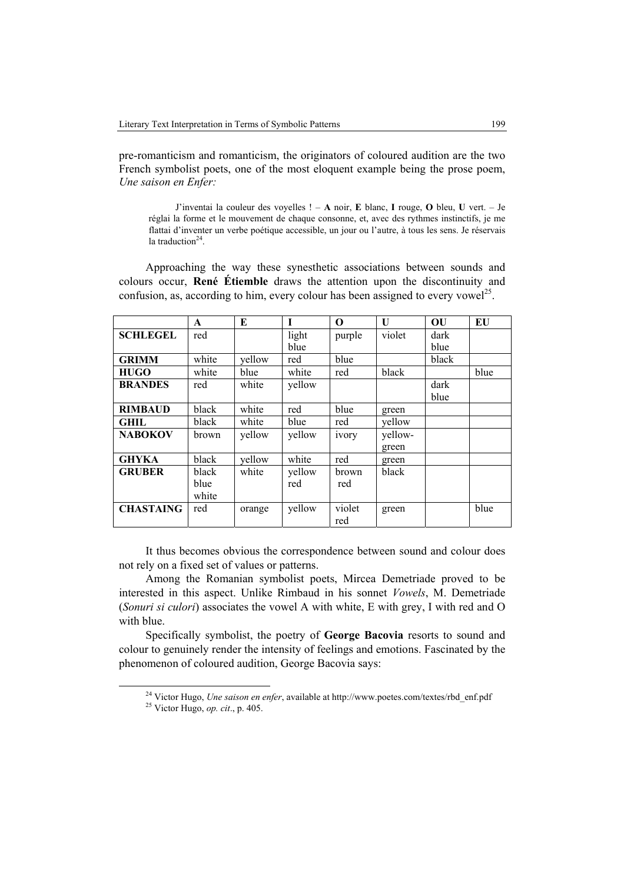pre-romanticism and romanticism, the originators of coloured audition are the two French symbolist poets, one of the most eloquent example being the prose poem, *Une saison en Enfer:* 

J'inventai la couleur des voyelles ! – **A** noir, **E** blanc, **I** rouge, **O** bleu, **U** vert. – Je réglai la forme et le mouvement de chaque consonne, et, avec des rythmes instinctifs, je me flattai d'inventer un verbe poétique accessible, un jour ou l'autre, à tous les sens. Je réservais la traduction $24$ .

Approaching the way these synesthetic associations between sounds and colours occur, **René Étiemble** draws the attention upon the discontinuity and confusion, as, according to him, every colour has been assigned to every vowel<sup>25</sup>.

|                  | $\mathbf{A}$ | E      | T      | $\Omega$     | U       | OU    | EU   |
|------------------|--------------|--------|--------|--------------|---------|-------|------|
| <b>SCHLEGEL</b>  | red          |        | light  | purple       | violet  | dark  |      |
|                  |              |        | blue   |              |         | blue  |      |
| <b>GRIMM</b>     | white        | yellow | red    | blue         |         | black |      |
| <b>HUGO</b>      | white        | blue   | white  | red          | black   |       | blue |
| <b>BRANDES</b>   | red          | white  | yellow |              |         | dark  |      |
|                  |              |        |        |              |         | blue  |      |
| <b>RIMBAUD</b>   | black        | white  | red    | blue         | green   |       |      |
| <b>GHIL</b>      | black        | white  | blue   | red          | yellow  |       |      |
| <b>NABOKOV</b>   | brown        | yellow | yellow | <i>ivory</i> | yellow- |       |      |
|                  |              |        |        |              | green   |       |      |
| <b>GHYKA</b>     | black        | yellow | white  | red          | green   |       |      |
| <b>GRUBER</b>    | black        | white  | yellow | brown        | black   |       |      |
|                  | blue         |        | red    | red          |         |       |      |
|                  | white        |        |        |              |         |       |      |
| <b>CHASTAING</b> | red          | orange | yellow | violet       | green   |       | blue |
|                  |              |        |        | red          |         |       |      |

It thus becomes obvious the correspondence between sound and colour does not rely on a fixed set of values or patterns.

Among the Romanian symbolist poets, Mircea Demetriade proved to be interested in this aspect. Unlike Rimbaud in his sonnet *Vowels*, M. Demetriade (*Sonuri si culori*) associates the vowel A with white, E with grey, I with red and O with blue.

Specifically symbolist, the poetry of **George Bacovia** resorts to sound and colour to genuinely render the intensity of feelings and emotions. Fascinated by the phenomenon of coloured audition, George Bacovia says:

24 Victor Hugo, *Une saison en enfer*, available at http://www.poetes.com/textes/rbd\_enf.pdf 25 Victor Hugo, *op. cit*., p. 405.